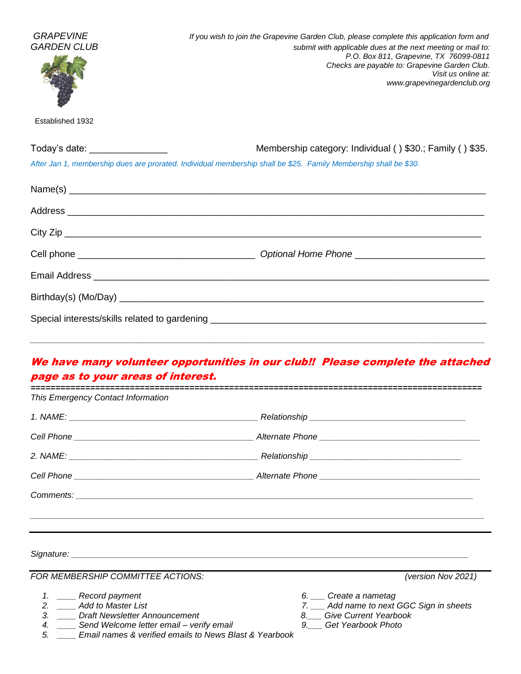

| Today's date:                                                                                                    | Membership category: Individual () \$30.; Family () \$35. |
|------------------------------------------------------------------------------------------------------------------|-----------------------------------------------------------|
| After Jan 1, membership dues are prorated. Individual membership shall be \$25. Family Membership shall be \$30. |                                                           |
|                                                                                                                  |                                                           |

| City Zip |  |
|----------|--|
|          |  |
|          |  |
|          |  |
|          |  |

## We have many volunteer opportunities in our club!! Please complete the attached page as to your areas of interest.

*\_\_\_\_\_\_\_\_\_\_\_\_\_\_\_\_\_\_\_\_\_\_\_\_\_\_\_\_\_\_\_\_\_\_\_\_\_\_\_\_\_\_\_\_\_\_\_\_\_\_\_\_\_\_\_\_\_\_\_\_\_\_\_\_\_\_\_\_\_\_\_\_\_\_\_\_\_\_\_\_\_\_\_\_\_\_\_\_\_\_\_\_\_\_\_\_*

| This Emergency Contact Information                                                                                                                                                                                  |                                                                                                                       |  |  |
|---------------------------------------------------------------------------------------------------------------------------------------------------------------------------------------------------------------------|-----------------------------------------------------------------------------------------------------------------------|--|--|
|                                                                                                                                                                                                                     |                                                                                                                       |  |  |
|                                                                                                                                                                                                                     |                                                                                                                       |  |  |
|                                                                                                                                                                                                                     |                                                                                                                       |  |  |
|                                                                                                                                                                                                                     |                                                                                                                       |  |  |
|                                                                                                                                                                                                                     |                                                                                                                       |  |  |
|                                                                                                                                                                                                                     |                                                                                                                       |  |  |
|                                                                                                                                                                                                                     |                                                                                                                       |  |  |
|                                                                                                                                                                                                                     |                                                                                                                       |  |  |
| FOR MEMBERSHIP COMMITTEE ACTIONS:                                                                                                                                                                                   | (version Nov 2021)                                                                                                    |  |  |
| 1. _____ Record payment<br><b>Add to Master List</b><br>2.<br>3.<br>Draft Newsletter Announcement<br>Send Welcome letter email - verify email<br>4.<br>Email names & verified emails to News Blast & Yearbook<br>5. | 6. Create a nametag<br>7. __ Add name to next GGC Sign in sheets<br>8. Give Current Yearbook<br>9. Get Yearbook Photo |  |  |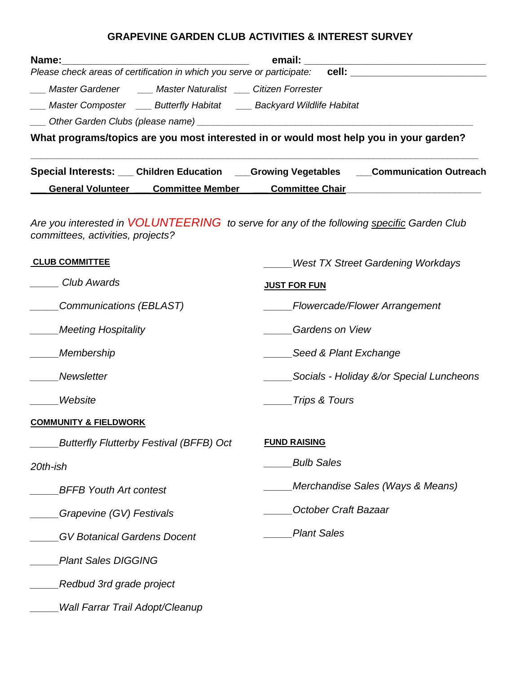## **GRAPEVINE GARDEN CLUB ACTIVITIES & INTEREST SURVEY**

|                                                            |                                                    | Please check areas of certification in which you serve or participate: cell: ______________________ |                                                                                  |  |
|------------------------------------------------------------|----------------------------------------------------|-----------------------------------------------------------------------------------------------------|----------------------------------------------------------------------------------|--|
|                                                            |                                                    |                                                                                                     |                                                                                  |  |
|                                                            |                                                    | ___ Master Composter ____ Butterfly Habitat ____ Backyard Wildlife Habitat                          |                                                                                  |  |
|                                                            |                                                    |                                                                                                     |                                                                                  |  |
|                                                            |                                                    | What programs/topics are you most interested in or would most help you in your garden?              |                                                                                  |  |
|                                                            |                                                    |                                                                                                     | Special Interests: Children Education Corowing Vegetables Communication Outreach |  |
|                                                            | General Volunteer Committee Member Committee Chair |                                                                                                     |                                                                                  |  |
| committees, activities, projects?<br><b>CLUB COMMITTEE</b> |                                                    | Are you interested in <b>VOLUNTEERING</b> to serve for any of the following specific Garden Club    | West TX Street Gardening Workdays                                                |  |
| <b>Club Awards</b>                                         |                                                    | <b>JUST FOR FUN</b>                                                                                 |                                                                                  |  |
| Communications (EBLAST)                                    |                                                    |                                                                                                     | Flowercade/Flower Arrangement                                                    |  |
| Meeting Hospitality_                                       |                                                    |                                                                                                     | <b>Gardens on View</b>                                                           |  |
| Membership_                                                |                                                    |                                                                                                     | Seed & Plant Exchange_                                                           |  |
| Newsletter                                                 |                                                    |                                                                                                     | Socials - Holiday &/or Special Luncheons                                         |  |
| Website                                                    |                                                    | Trips & Tours_                                                                                      |                                                                                  |  |
| <b>COMMUNITY &amp; FIELDWORK</b>                           |                                                    |                                                                                                     |                                                                                  |  |
|                                                            | <b>Butterfly Flutterby Festival (BFFB) Oct</b>     | <b>FUND RAISING</b>                                                                                 |                                                                                  |  |
| 20th-ish                                                   |                                                    | <b>Bulb Sales</b>                                                                                   |                                                                                  |  |
| <b>BFFB Youth Art contest</b>                              |                                                    |                                                                                                     | Merchandise Sales (Ways & Means)                                                 |  |
| Grapevine (GV) Festivals                                   |                                                    | October Craft Bazaar                                                                                |                                                                                  |  |
| <b>GV Botanical Gardens Docent</b>                         |                                                    | <b>Plant Sales</b>                                                                                  |                                                                                  |  |
| <b>Plant Sales DIGGING</b>                                 |                                                    |                                                                                                     |                                                                                  |  |
| Redbud 3rd grade project                                   |                                                    |                                                                                                     |                                                                                  |  |
|                                                            | <b>Wall Farrar Trail Adopt/Cleanup</b>             |                                                                                                     |                                                                                  |  |